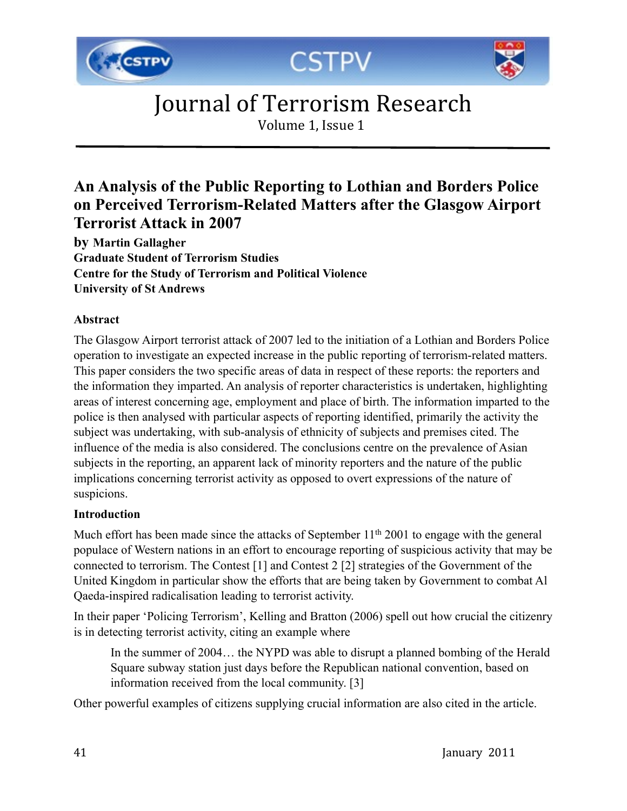





Volume 1, Issue 1

#### **An Analysis of the Public Reporting to Lothian and Borders Police on Perceived Terrorism-Related Matters after the Glasgow Airport Terrorist Attack in 2007**

**by Martin Gallagher Graduate Student of Terrorism Studies Centre for the Study of Terrorism and Political Violence University of St Andrews**

#### **Abstract**

The Glasgow Airport terrorist attack of 2007 led to the initiation of a Lothian and Borders Police operation to investigate an expected increase in the public reporting of terrorism-related matters. This paper considers the two specific areas of data in respect of these reports: the reporters and the information they imparted. An analysis of reporter characteristics is undertaken, highlighting areas of interest concerning age, employment and place of birth. The information imparted to the police is then analysed with particular aspects of reporting identified, primarily the activity the subject was undertaking, with sub-analysis of ethnicity of subjects and premises cited. The influence of the media is also considered. The conclusions centre on the prevalence of Asian subjects in the reporting, an apparent lack of minority reporters and the nature of the public implications concerning terrorist activity as opposed to overt expressions of the nature of suspicions.

#### **Introduction**

Much effort has been made since the attacks of September  $11<sup>th</sup> 2001$  to engage with the general populace of Western nations in an effort to encourage reporting of suspicious activity that may be connected to terrorism. The Contest [1] and Contest 2 [2] strategies of the Government of the United Kingdom in particular show the efforts that are being taken by Government to combat Al Qaeda-inspired radicalisation leading to terrorist activity.

In their paper 'Policing Terrorism', Kelling and Bratton (2006) spell out how crucial the citizenry is in detecting terrorist activity, citing an example where

In the summer of 2004… the NYPD was able to disrupt a planned bombing of the Herald Square subway station just days before the Republican national convention, based on information received from the local community. [3]

Other powerful examples of citizens supplying crucial information are also cited in the article.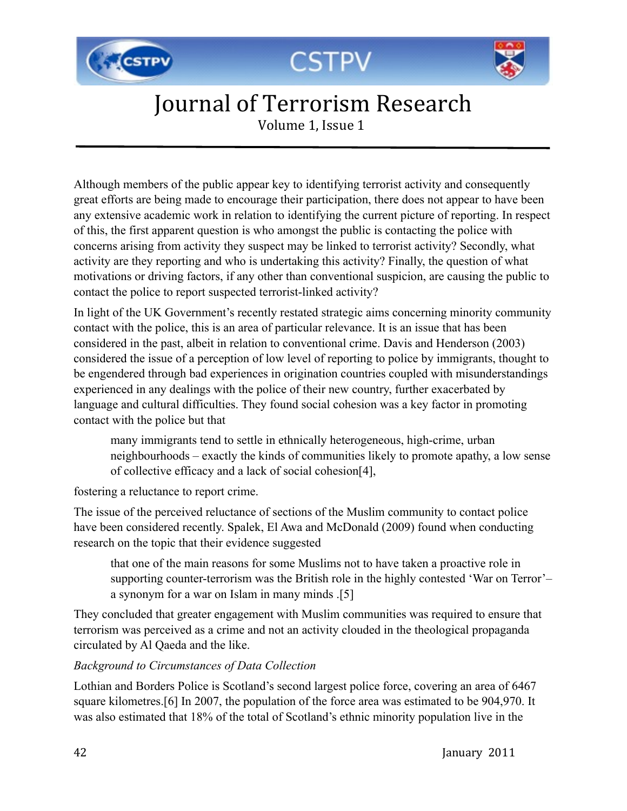





Volume 1, Issue 1

Although members of the public appear key to identifying terrorist activity and consequently great efforts are being made to encourage their participation, there does not appear to have been any extensive academic work in relation to identifying the current picture of reporting. In respect of this, the first apparent question is who amongst the public is contacting the police with concerns arising from activity they suspect may be linked to terrorist activity? Secondly, what activity are they reporting and who is undertaking this activity? Finally, the question of what motivations or driving factors, if any other than conventional suspicion, are causing the public to contact the police to report suspected terrorist-linked activity?

In light of the UK Government's recently restated strategic aims concerning minority community contact with the police, this is an area of particular relevance. It is an issue that has been considered in the past, albeit in relation to conventional crime. Davis and Henderson (2003) considered the issue of a perception of low level of reporting to police by immigrants, thought to be engendered through bad experiences in origination countries coupled with misunderstandings experienced in any dealings with the police of their new country, further exacerbated by language and cultural difficulties. They found social cohesion was a key factor in promoting contact with the police but that

many immigrants tend to settle in ethnically heterogeneous, high-crime, urban neighbourhoods – exactly the kinds of communities likely to promote apathy, a low sense of collective efficacy and a lack of social cohesion[4],

fostering a reluctance to report crime.

The issue of the perceived reluctance of sections of the Muslim community to contact police have been considered recently. Spalek, El Awa and McDonald (2009) found when conducting research on the topic that their evidence suggested

that one of the main reasons for some Muslims not to have taken a proactive role in supporting counter-terrorism was the British role in the highly contested 'War on Terror'– a synonym for a war on Islam in many minds .[5]

They concluded that greater engagement with Muslim communities was required to ensure that terrorism was perceived as a crime and not an activity clouded in the theological propaganda circulated by Al Qaeda and the like.

#### *Background to Circumstances of Data Collection*

Lothian and Borders Police is Scotland's second largest police force, covering an area of 6467 square kilometres.[6] In 2007, the population of the force area was estimated to be 904,970. It was also estimated that 18% of the total of Scotland's ethnic minority population live in the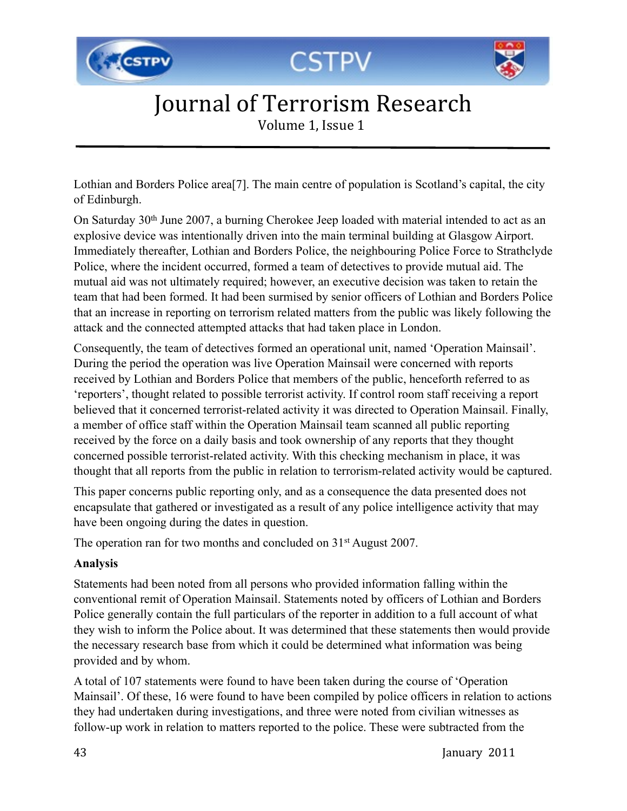





Volume 1, Issue 1

Lothian and Borders Police area[7]. The main centre of population is Scotland's capital, the city of Edinburgh.

On Saturday 30th June 2007, a burning Cherokee Jeep loaded with material intended to act as an explosive device was intentionally driven into the main terminal building at Glasgow Airport. Immediately thereafter, Lothian and Borders Police, the neighbouring Police Force to Strathclyde Police, where the incident occurred, formed a team of detectives to provide mutual aid. The mutual aid was not ultimately required; however, an executive decision was taken to retain the team that had been formed. It had been surmised by senior officers of Lothian and Borders Police that an increase in reporting on terrorism related matters from the public was likely following the attack and the connected attempted attacks that had taken place in London.

Consequently, the team of detectives formed an operational unit, named 'Operation Mainsail'. During the period the operation was live Operation Mainsail were concerned with reports received by Lothian and Borders Police that members of the public, henceforth referred to as 'reporters', thought related to possible terrorist activity. If control room staff receiving a report believed that it concerned terrorist-related activity it was directed to Operation Mainsail. Finally, a member of office staff within the Operation Mainsail team scanned all public reporting received by the force on a daily basis and took ownership of any reports that they thought concerned possible terrorist-related activity. With this checking mechanism in place, it was thought that all reports from the public in relation to terrorism-related activity would be captured.

This paper concerns public reporting only, and as a consequence the data presented does not encapsulate that gathered or investigated as a result of any police intelligence activity that may have been ongoing during the dates in question.

The operation ran for two months and concluded on 31<sup>st</sup> August 2007.

#### **Analysis**

Statements had been noted from all persons who provided information falling within the conventional remit of Operation Mainsail. Statements noted by officers of Lothian and Borders Police generally contain the full particulars of the reporter in addition to a full account of what they wish to inform the Police about. It was determined that these statements then would provide the necessary research base from which it could be determined what information was being provided and by whom.

A total of 107 statements were found to have been taken during the course of 'Operation Mainsail'. Of these, 16 were found to have been compiled by police officers in relation to actions they had undertaken during investigations, and three were noted from civilian witnesses as follow-up work in relation to matters reported to the police. These were subtracted from the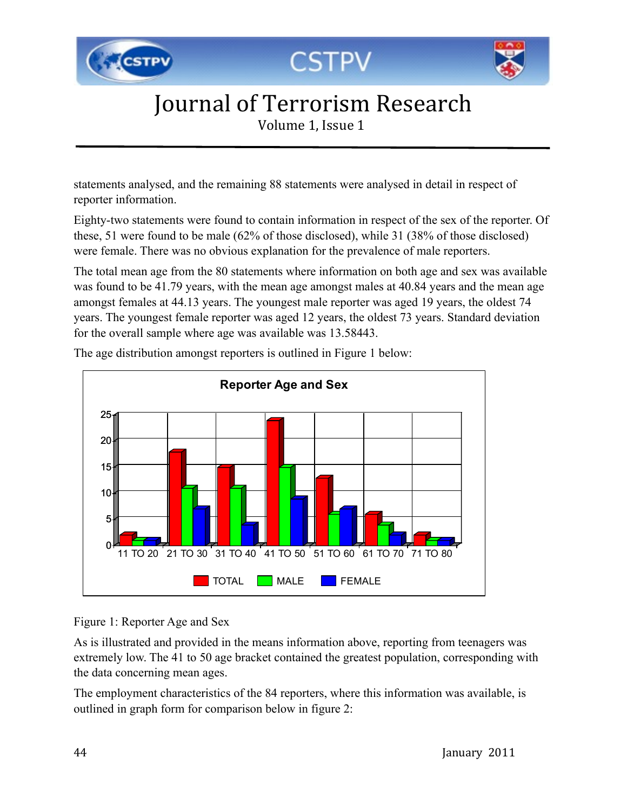





Volume 1, Issue 1

statements analysed, and the remaining 88 statements were analysed in detail in respect of reporter information.

Eighty-two statements were found to contain information in respect of the sex of the reporter. Of these, 51 were found to be male (62% of those disclosed), while 31 (38% of those disclosed) were female. There was no obvious explanation for the prevalence of male reporters.

The total mean age from the 80 statements where information on both age and sex was available was found to be 41.79 years, with the mean age amongst males at 40.84 years and the mean age amongst females at 44.13 years. The youngest male reporter was aged 19 years, the oldest 74 years. The youngest female reporter was aged 12 years, the oldest 73 years. Standard deviation for the overall sample where age was available was 13.58443.



The age distribution amongst reporters is outlined in Figure 1 below:

#### Figure 1: Reporter Age and Sex

As is illustrated and provided in the means information above, reporting from teenagers was extremely low. The 41 to 50 age bracket contained the greatest population, corresponding with the data concerning mean ages.

The employment characteristics of the 84 reporters, where this information was available, is outlined in graph form for comparison below in figure 2: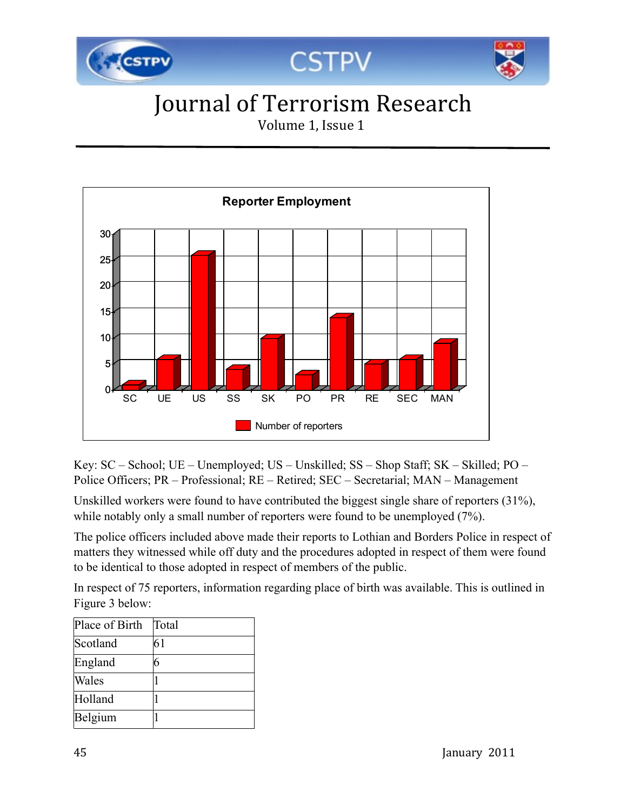

Volume 1, Issue 1



Key: SC – School; UE – Unemployed; US – Unskilled; SS – Shop Staff; SK – Skilled; PO – Police Officers; PR – Professional; RE – Retired; SEC – Secretarial; MAN – Management

Unskilled workers were found to have contributed the biggest single share of reporters (31%), while notably only a small number of reporters were found to be unemployed  $(7%)$ .

The police officers included above made their reports to Lothian and Borders Police in respect of matters they witnessed while off duty and the procedures adopted in respect of them were found to be identical to those adopted in respect of members of the public.

In respect of 75 reporters, information regarding place of birth was available. This is outlined in Figure 3 below:

| Place of Birth | Total |
|----------------|-------|
| Scotland       | 61    |
| England        | 6     |
| Wales          |       |
| Holland        |       |
| Belgium        |       |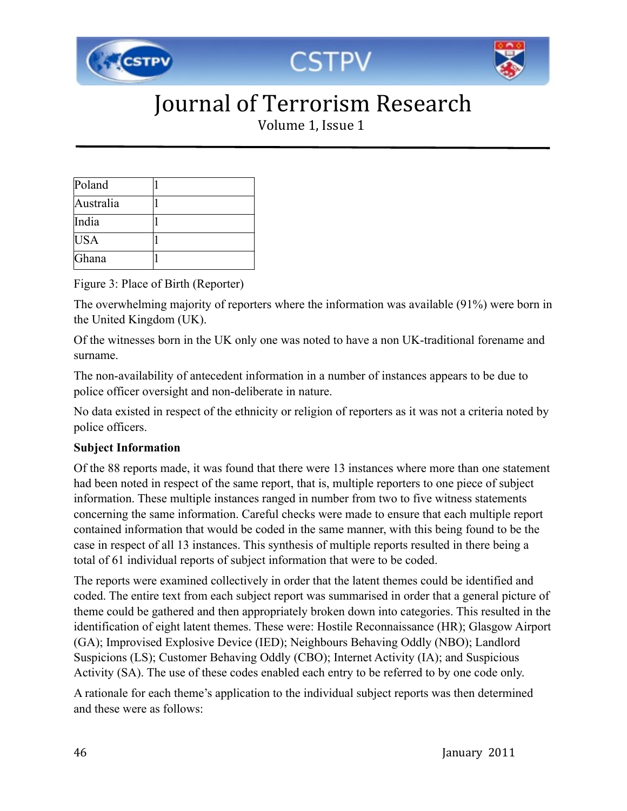

Volume 1, Issue 1

| Poland     |  |
|------------|--|
| Australia  |  |
| India      |  |
| <b>USA</b> |  |
| Ghana      |  |

Figure 3: Place of Birth (Reporter)

The overwhelming majority of reporters where the information was available (91%) were born in the United Kingdom (UK).

Of the witnesses born in the UK only one was noted to have a non UK-traditional forename and surname.

The non-availability of antecedent information in a number of instances appears to be due to police officer oversight and non-deliberate in nature.

No data existed in respect of the ethnicity or religion of reporters as it was not a criteria noted by police officers.

#### **Subject Information**

Of the 88 reports made, it was found that there were 13 instances where more than one statement had been noted in respect of the same report, that is, multiple reporters to one piece of subject information. These multiple instances ranged in number from two to five witness statements concerning the same information. Careful checks were made to ensure that each multiple report contained information that would be coded in the same manner, with this being found to be the case in respect of all 13 instances. This synthesis of multiple reports resulted in there being a total of 61 individual reports of subject information that were to be coded.

The reports were examined collectively in order that the latent themes could be identified and coded. The entire text from each subject report was summarised in order that a general picture of theme could be gathered and then appropriately broken down into categories. This resulted in the identification of eight latent themes. These were: Hostile Reconnaissance (HR); Glasgow Airport (GA); Improvised Explosive Device (IED); Neighbours Behaving Oddly (NBO); Landlord Suspicions (LS); Customer Behaving Oddly (CBO); Internet Activity (IA); and Suspicious Activity (SA). The use of these codes enabled each entry to be referred to by one code only.

A rationale for each theme's application to the individual subject reports was then determined and these were as follows: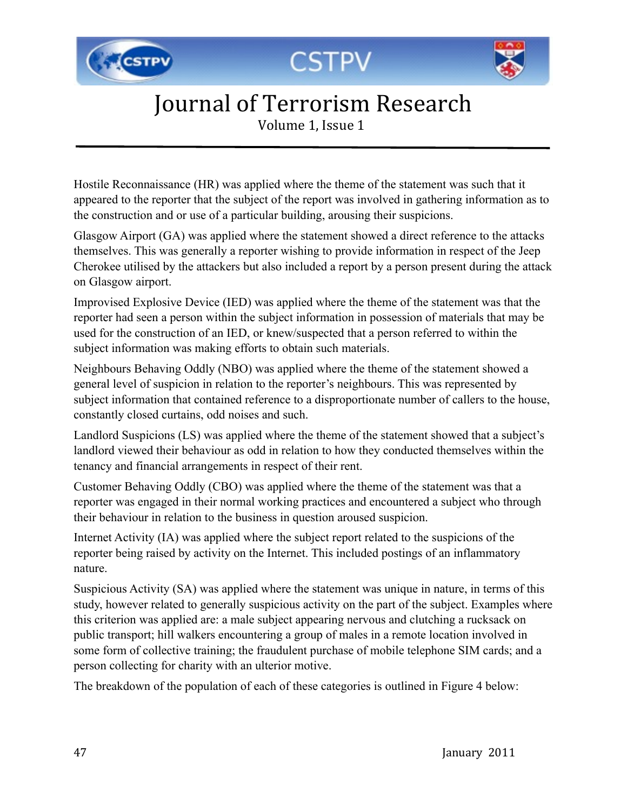





Volume 1, Issue 1

Hostile Reconnaissance (HR) was applied where the theme of the statement was such that it appeared to the reporter that the subject of the report was involved in gathering information as to the construction and or use of a particular building, arousing their suspicions.

Glasgow Airport (GA) was applied where the statement showed a direct reference to the attacks themselves. This was generally a reporter wishing to provide information in respect of the Jeep Cherokee utilised by the attackers but also included a report by a person present during the attack on Glasgow airport.

Improvised Explosive Device (IED) was applied where the theme of the statement was that the reporter had seen a person within the subject information in possession of materials that may be used for the construction of an IED, or knew/suspected that a person referred to within the subject information was making efforts to obtain such materials.

Neighbours Behaving Oddly (NBO) was applied where the theme of the statement showed a general level of suspicion in relation to the reporter's neighbours. This was represented by subject information that contained reference to a disproportionate number of callers to the house, constantly closed curtains, odd noises and such.

Landlord Suspicions (LS) was applied where the theme of the statement showed that a subject's landlord viewed their behaviour as odd in relation to how they conducted themselves within the tenancy and financial arrangements in respect of their rent.

Customer Behaving Oddly (CBO) was applied where the theme of the statement was that a reporter was engaged in their normal working practices and encountered a subject who through their behaviour in relation to the business in question aroused suspicion.

Internet Activity (IA) was applied where the subject report related to the suspicions of the reporter being raised by activity on the Internet. This included postings of an inflammatory nature.

Suspicious Activity (SA) was applied where the statement was unique in nature, in terms of this study, however related to generally suspicious activity on the part of the subject. Examples where this criterion was applied are: a male subject appearing nervous and clutching a rucksack on public transport; hill walkers encountering a group of males in a remote location involved in some form of collective training; the fraudulent purchase of mobile telephone SIM cards; and a person collecting for charity with an ulterior motive.

The breakdown of the population of each of these categories is outlined in Figure 4 below: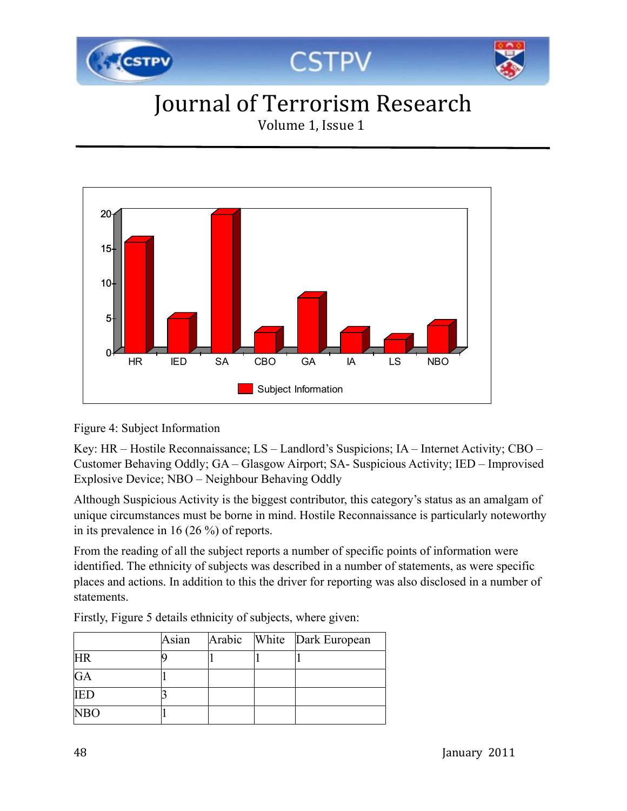

Volume 1, Issue 1



#### Figure 4: Subject Information

Key: HR – Hostile Reconnaissance; LS – Landlord's Suspicions; IA – Internet Activity; CBO – Customer Behaving Oddly; GA – Glasgow Airport; SA- Suspicious Activity; IED – Improvised Explosive Device; NBO – Neighbour Behaving Oddly

Although Suspicious Activity is the biggest contributor, this category's status as an amalgam of unique circumstances must be borne in mind. Hostile Reconnaissance is particularly noteworthy in its prevalence in 16 (26 %) of reports.

From the reading of all the subject reports a number of specific points of information were identified. The ethnicity of subjects was described in a number of statements, as were specific places and actions. In addition to this the driver for reporting was also disclosed in a number of statements.

|            | Asian |  | Arabic White Dark European |
|------------|-------|--|----------------------------|
| <b>HR</b>  |       |  |                            |
| GA         |       |  |                            |
| <b>IED</b> |       |  |                            |
| <b>NBO</b> |       |  |                            |

Firstly, Figure 5 details ethnicity of subjects, where given: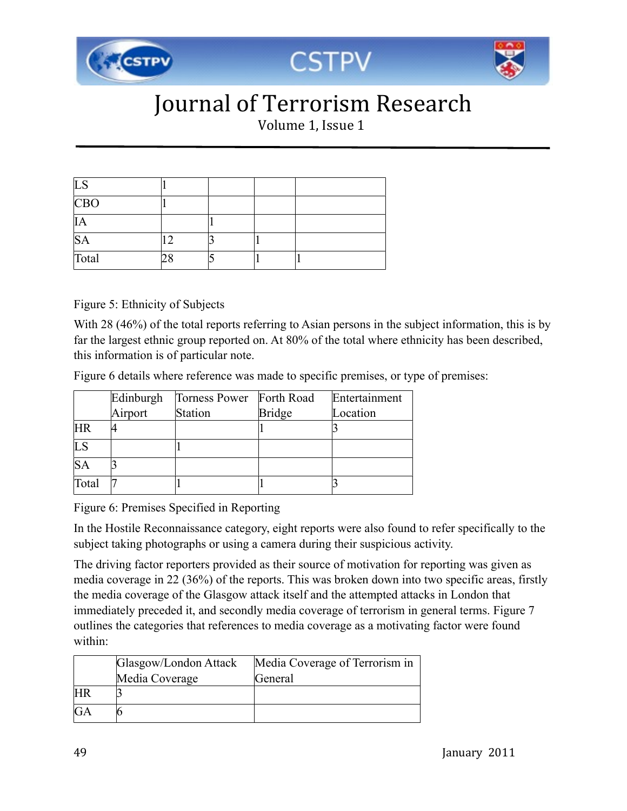

Volume 1, Issue 1

| <b>LS</b>  |  |  |
|------------|--|--|
| <b>CBO</b> |  |  |
| IA         |  |  |
| <b>SA</b>  |  |  |
| Total      |  |  |

Figure 5: Ethnicity of Subjects

With 28 (46%) of the total reports referring to Asian persons in the subject information, this is by far the largest ethnic group reported on. At 80% of the total where ethnicity has been described, this information is of particular note.

Figure 6 details where reference was made to specific premises, or type of premises:

|           | Edinburgh | Torness Power Forth Road |               | Entertainment |
|-----------|-----------|--------------------------|---------------|---------------|
|           | Airport   | Station                  | <b>Bridge</b> | Location      |
| <b>HR</b> |           |                          |               |               |
| LS        |           |                          |               |               |
| <b>SA</b> |           |                          |               |               |
| Total     |           |                          |               |               |

Figure 6: Premises Specified in Reporting

In the Hostile Reconnaissance category, eight reports were also found to refer specifically to the subject taking photographs or using a camera during their suspicious activity.

The driving factor reporters provided as their source of motivation for reporting was given as media coverage in 22 (36%) of the reports. This was broken down into two specific areas, firstly the media coverage of the Glasgow attack itself and the attempted attacks in London that immediately preceded it, and secondly media coverage of terrorism in general terms. Figure 7 outlines the categories that references to media coverage as a motivating factor were found within:

|           | Glasgow/London Attack | Media Coverage of Terrorism in |
|-----------|-----------------------|--------------------------------|
|           | Media Coverage        | General                        |
| <b>HR</b> |                       |                                |
| GA        |                       |                                |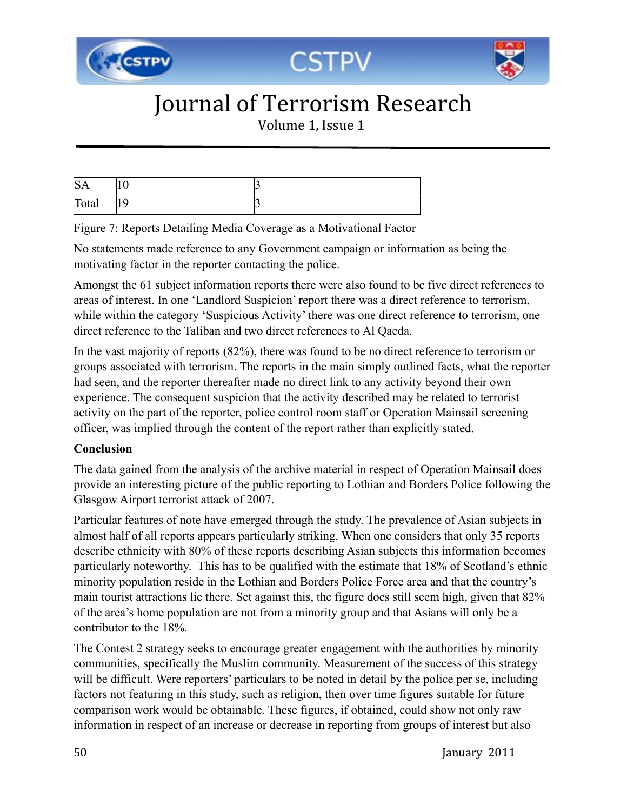

Volume 1, Issue 1

| $S_i$ | v    |  |
|-------|------|--|
| Total | 11 Y |  |

Figure 7: Reports Detailing Media Coverage as a Motivational Factor

No statements made reference to any Government campaign or information as being the motivating factor in the reporter contacting the police.

Amongst the 61 subject information reports there were also found to be five direct references to areas of interest. In one 'Landlord Suspicion' report there was a direct reference to terrorism, while within the category 'Suspicious Activity' there was one direct reference to terrorism, one direct reference to the Taliban and two direct references to Al Qaeda.

In the vast majority of reports (82%), there was found to be no direct reference to terrorism or groups associated with terrorism. The reports in the main simply outlined facts, what the reporter had seen, and the reporter thereafter made no direct link to any activity beyond their own experience. The consequent suspicion that the activity described may be related to terrorist activity on the part of the reporter, police control room staff or Operation Mainsail screening officer, was implied through the content of the report rather than explicitly stated.

#### **Conclusion**

The data gained from the analysis of the archive material in respect of Operation Mainsail does provide an interesting picture of the public reporting to Lothian and Borders Police following the Glasgow Airport terrorist attack of 2007.

Particular features of note have emerged through the study. The prevalence of Asian subjects in almost half of all reports appears particularly striking. When one considers that only 35 reports describe ethnicity with 80% of these reports describing Asian subjects this information becomes particularly noteworthy. This has to be qualified with the estimate that 18% of Scotland's ethnic minority population reside in the Lothian and Borders Police Force area and that the country's main tourist attractions lie there. Set against this, the figure does still seem high, given that 82% of the area's home population are not from a minority group and that Asians will only be a contributor to the 18%.

The Contest 2 strategy seeks to encourage greater engagement with the authorities by minority communities, specifically the Muslim community. Measurement of the success of this strategy will be difficult. Were reporters' particulars to be noted in detail by the police per se, including factors not featuring in this study, such as religion, then over time figures suitable for future comparison work would be obtainable. These figures, if obtained, could show not only raw information in respect of an increase or decrease in reporting from groups of interest but also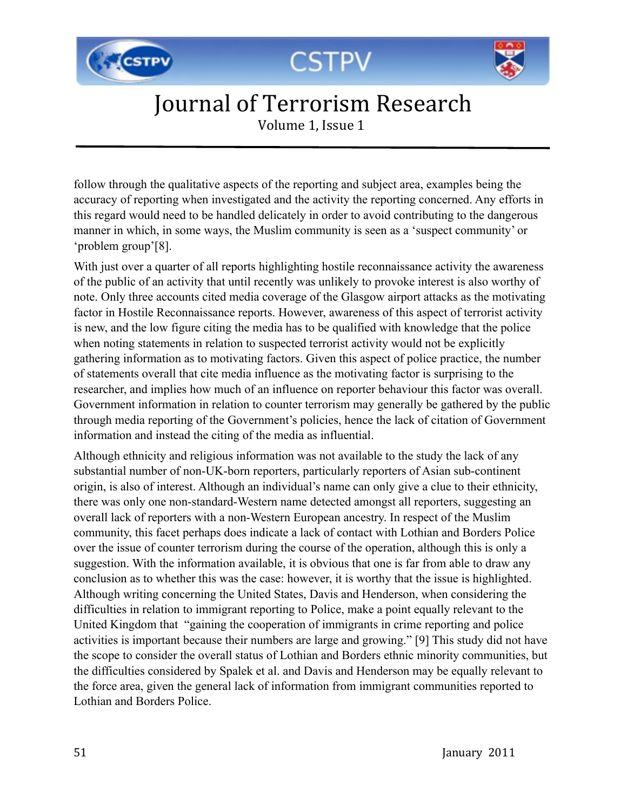





Volume 1, Issue 1

follow through the qualitative aspects of the reporting and subject area, examples being the accuracy of reporting when investigated and the activity the reporting concerned. Any efforts in this regard would need to be handled delicately in order to avoid contributing to the dangerous manner in which, in some ways, the Muslim community is seen as a 'suspect community' or 'problem group'[8].

With just over a quarter of all reports highlighting hostile reconnaissance activity the awareness of the public of an activity that until recently was unlikely to provoke interest is also worthy of note. Only three accounts cited media coverage of the Glasgow airport attacks as the motivating factor in Hostile Reconnaissance reports. However, awareness of this aspect of terrorist activity is new, and the low figure citing the media has to be qualified with knowledge that the police when noting statements in relation to suspected terrorist activity would not be explicitly gathering information as to motivating factors. Given this aspect of police practice, the number of statements overall that cite media influence as the motivating factor is surprising to the researcher, and implies how much of an influence on reporter behaviour this factor was overall. Government information in relation to counter terrorism may generally be gathered by the public through media reporting of the Government's policies, hence the lack of citation of Government information and instead the citing of the media as influential.

Although ethnicity and religious information was not available to the study the lack of any substantial number of non-UK-born reporters, particularly reporters of Asian sub-continent origin, is also of interest. Although an individual's name can only give a clue to their ethnicity, there was only one non-standard-Western name detected amongst all reporters, suggesting an overall lack of reporters with a non-Western European ancestry. In respect of the Muslim community, this facet perhaps does indicate a lack of contact with Lothian and Borders Police over the issue of counter terrorism during the course of the operation, although this is only a suggestion. With the information available, it is obvious that one is far from able to draw any conclusion as to whether this was the case: however, it is worthy that the issue is highlighted. Although writing concerning the United States, Davis and Henderson, when considering the difficulties in relation to immigrant reporting to Police, make a point equally relevant to the United Kingdom that "gaining the cooperation of immigrants in crime reporting and police activities is important because their numbers are large and growing." [9] This study did not have the scope to consider the overall status of Lothian and Borders ethnic minority communities, but the difficulties considered by Spalek et al. and Davis and Henderson may be equally relevant to the force area, given the general lack of information from immigrant communities reported to Lothian and Borders Police.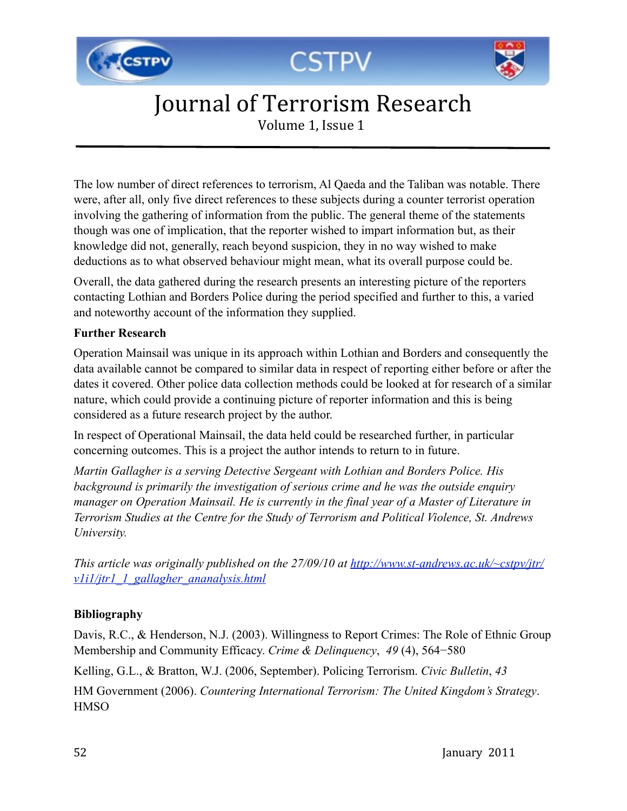





Volume 1, Issue 1

The low number of direct references to terrorism, Al Qaeda and the Taliban was notable. There were, after all, only five direct references to these subjects during a counter terrorist operation involving the gathering of information from the public. The general theme of the statements though was one of implication, that the reporter wished to impart information but, as their knowledge did not, generally, reach beyond suspicion, they in no way wished to make deductions as to what observed behaviour might mean, what its overall purpose could be.

Overall, the data gathered during the research presents an interesting picture of the reporters contacting Lothian and Borders Police during the period specified and further to this, a varied and noteworthy account of the information they supplied.

#### **Further Research**

Operation Mainsail was unique in its approach within Lothian and Borders and consequently the data available cannot be compared to similar data in respect of reporting either before or after the dates it covered. Other police data collection methods could be looked at for research of a similar nature, which could provide a continuing picture of reporter information and this is being considered as a future research project by the author.

In respect of Operational Mainsail, the data held could be researched further, in particular concerning outcomes. This is a project the author intends to return to in future.

*Martin Gallagher is a serving Detective Sergeant with Lothian and Borders Police. His background is primarily the investigation of serious crime and he was the outside enquiry manager on Operation Mainsail. He is currently in the final year of a Master of Literature in Terrorism Studies at the Centre for the Study of Terrorism and Political Violence, St. Andrews University.*

*This article was originally published on the 27/09/10 at [http://www.st-andrews.ac.uk/~cstpv/jtr/](http://www.st-andrews.ac.uk/~cstpv/jtr/v1i1/jtr1_1_gallagher_ananalysis.html) [v1i1/jtr1\\_1\\_gallagher\\_ananalysis.html](http://www.st-andrews.ac.uk/~cstpv/jtr/v1i1/jtr1_1_gallagher_ananalysis.html)*

#### **Bibliography**

Davis, R.C., & Henderson, N.J. (2003). Willingness to Report Crimes: The Role of Ethnic Group Membership and Community Efficacy. *Crime & Delinquency*, *49* (4), 564−580

Kelling, G.L., & Bratton, W.J. (2006, September). Policing Terrorism. *Civic Bulletin*, *43*

HM Government (2006). *Countering International Terrorism: The United Kingdom's Strategy*. **HMSO**